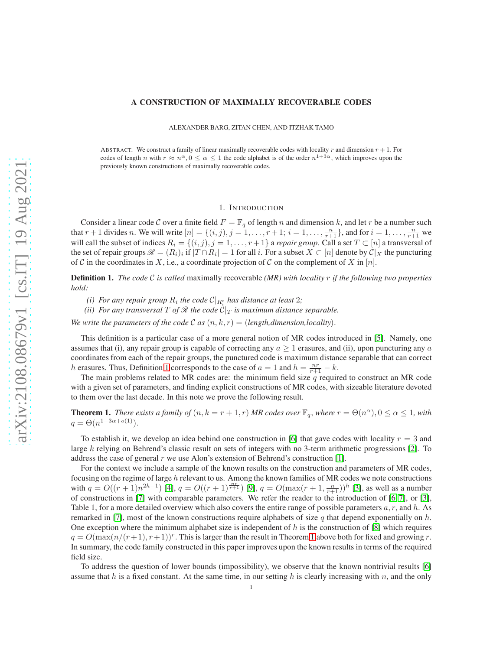#### A CONSTRUCTION OF MAXIMALLY RECOVERABLE CODES

ALEXANDER BARG, ZITAN CHEN, AND ITZHAK TAMO

ABSTRACT. We construct a family of linear maximally recoverable codes with locality r and dimension  $r + 1$ . For codes of length n with  $r \approx n^{\alpha}$ ,  $0 \le \alpha \le 1$  the code alphabet is of the order  $n^{1+3\alpha}$ , which improves upon the previously known constructions of maximally recoverable codes.

## 1. INTRODUCTION

Consider a linear code C over a finite field  $F = \mathbb{F}_q$  of length n and dimension k, and let r be a number such that  $r + 1$  divides n. We will write  $[n] = \{(i, j), j = 1, \dots, r + 1; i = 1, \dots, \frac{n}{r+1}\}$ , and for  $i = 1, \dots, \frac{n}{r+1}$  we will call the subset of indices  $R_i = \{(i, j), j = 1, \ldots, r + 1\}$  a *repair group*. Call a set  $T \subset [n]$  a transversal of the set of repair groups  $\mathcal{R} = (R_i)_i$  if  $|T \cap R_i| = 1$  for all i. For a subset  $X \subset [n]$  denote by  $C|_X$  the puncturing of C in the coordinates in X, i.e., a coordinate projection of C on the complement of X in  $[n]$ .

<span id="page-0-0"></span>Definition 1. *The code* <sup>C</sup> *is called* maximally recoverable *(MR) with locality* <sup>r</sup> *if the following two properties hold:*

- *(i)* For any repair group  $R_i$  the code  $\mathcal{C}|_{R_i^c}$  has distance at least 2;
- *(ii) For any transversal* T *of*  $\mathcal{R}$  *the code*  $C|_T$  *is maximum distance separable.*

*We write the parameters of the code* C *as*  $(n, k, r) = (length, dimension, locality)$ .

This definition is a particular case of a more general notion of MR codes introduced in [\[5\]](#page-5-0). Namely, one assumes that (i), any repair group is capable of correcting any  $a \ge 1$  erasures, and (ii), upon puncturing any a coordinates from each of the repair groups, the punctured code is maximum distance separable that can correct h erasures. Thus, Definition [1](#page-0-0) corresponds to the case of  $a = 1$  and  $h = \frac{nr}{r+1} - k$ .

The main problems related to MR codes are: the minimum field size  $q$  required to construct an MR code with a given set of parameters, and finding explicit constructions of MR codes, with sizeable literature devoted to them over the last decade. In this note we prove the following result.

<span id="page-0-1"></span>**Theorem 1.** *There exists a family of*  $(n, k = r + 1, r)$  *MR codes over*  $\mathbb{F}_q$ *, where*  $r = \Theta(n^{\alpha})$ ,  $0 \leq \alpha \leq 1$ *, with*  $q = \Theta(n^{1+3\alpha + o(1)})$ .

To establish it, we develop an idea behind one construction in [\[6\]](#page-5-1) that gave codes with locality  $r = 3$  and large k relying on Behrend's classic result on sets of integers with no 3-term arithmetic progressions [\[2\]](#page-5-2). To address the case of general r we use Alon's extension of Behrend's construction [\[1\]](#page-5-3).

For the context we include a sample of the known results on the construction and parameters of MR codes, focusing on the regime of large  $h$  relevant to us. Among the known families of MR codes we note constructions with  $q = O((r+1)n^{2h-1})$  [\[4\]](#page-5-4),  $q = O((r+1)^{\frac{nr}{r+1}})$  [\[9\]](#page-5-5),  $q = O(\max(r+1, \frac{n}{r+1}))^h$  [\[3\]](#page-5-6), as well as a number of constructions in [\[7\]](#page-5-7) with comparable parameters. We refer the reader to the introduction of [\[6,](#page-5-1) [7\]](#page-5-7), or [\[3\]](#page-5-6), Table 1, for a more detailed overview which also covers the entire range of possible parameters  $a, r$ , and  $h$ . As remarked in [\[7\]](#page-5-7), most of the known constructions require alphabets of size q that depend exponentially on h. One exception where the minimum alphabet size is independent of  $h$  is the construction of  $[8]$  which requires  $q = O(\max(n/(r+1), r+1))^r$ . This is larger than the result in Theorem [1](#page-0-1) above both for fixed and growing r. In summary, the code family constructed in this paper improves upon the known results in terms of the required field size.

To address the question of lower bounds (impossibility), we observe that the known nontrivial results [\[6\]](#page-5-1) assume that h is a fixed constant. At the same time, in our setting h is clearly increasing with n, and the only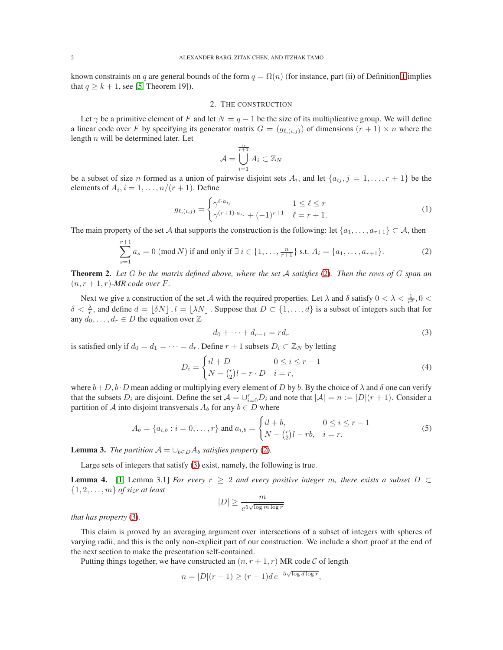known constraints on q are general bounds of the form  $q = \Omega(n)$  (for instance, part (ii) of Definition [1](#page-0-0) implies that  $q \geq k + 1$ , see [\[5,](#page-5-0) Theorem 19]).

# 2. THE CONSTRUCTION

Let  $\gamma$  be a primitive element of F and let  $N = q - 1$  be the size of its multiplicative group. We will define a linear code over F by specifying its generator matrix  $G = (g_{\ell,i,j})$  of dimensions  $(r + 1) \times n$  where the length  $n$  will be determined later. Let

$$
\mathcal{A} = \bigcup_{i=1}^{\frac{n}{r+1}} A_i \subset \mathbb{Z}_N
$$

be a subset of size *n* formed as a union of pairwise disjoint sets  $A_i$ , and let  $\{a_{ij}, j = 1, \ldots, r + 1\}$  be the elements of  $A_i$ ,  $i = 1, \ldots, n/(r+1)$ . Define

$$
g_{\ell,(i,j)} = \begin{cases} \gamma^{\ell \cdot a_{ij}} & 1 \le \ell \le r \\ \gamma^{(r+1) \cdot a_{ij}} + (-1)^{r+1} & \ell = r+1. \end{cases}
$$
(1)

The main property of the set A that supports the construction is the following: let  $\{a_1, \ldots, a_{r+1}\} \subset A$ , then

<span id="page-1-0"></span>
$$
\sum_{s=1}^{r+1} a_s = 0 \text{ (mod } N \text{) if and only if } \exists i \in \{1, \dots, \frac{n}{r+1}\} \text{ s.t. } A_i = \{a_1, \dots, a_{r+1}\}. \tag{2}
$$

<span id="page-1-3"></span>Theorem 2. *Let* <sup>G</sup> *be the matrix defined above, where the set* <sup>A</sup> *satisfies* [\(2\)](#page-1-0)*. Then the rows of* <sup>G</sup> *span an*  $(n, r+1, r)$ *-MR code over F*.

Next we give a construction of the set A with the required properties. Let  $\lambda$  and  $\delta$  satisfy  $0 < \lambda < \frac{1}{r^3}$ ,  $0 <$  $\delta < \frac{\lambda}{r}$ , and define  $d = [\delta N], l = [\lambda N]$ . Suppose that  $D \subset \{1, \dots, d\}$  is a subset of integers such that for any  $d_0, \ldots, d_r \in D$  the equation over  $\mathbb Z$ 

<span id="page-1-1"></span>
$$
d_0 + \dots + d_{r-1} = r d_r \tag{3}
$$

is satisfied only if  $d_0 = d_1 = \cdots = d_r$ . Define  $r + 1$  subsets  $D_i \subset \mathbb{Z}_N$  by letting

<span id="page-1-6"></span>
$$
D_i = \begin{cases} il+D & 0 \le i \le r-1 \\ N - {r \choose 2}l - r \cdot D & i = r, \end{cases}
$$
\n
$$
(4)
$$

where  $b+D$ ,  $b\cdot D$  mean adding or multiplying every element of D by b. By the choice of  $\lambda$  and  $\delta$  one can verify that the subsets  $D_i$  are disjoint. Define the set  $\mathcal{A} = \bigcup_{i=0}^r D_i$  and note that  $|\mathcal{A}| = n := |D|(r+1)$ . Consider a partition of A into disjoint transversals  $A_b$  for any  $b \in D$  where

<span id="page-1-5"></span>
$$
A_b = \{a_{i,b} : i = 0, \dots, r\} \text{ and } a_{i,b} = \begin{cases} il + b, & 0 \le i \le r - 1 \\ N - {r \choose 2}l - rb, & i = r. \end{cases}
$$
(5)

<span id="page-1-4"></span>**Lemma 3.** *The partition*  $A = \bigcup_{b \in D} A_b$  *satisfies property* [\(2\)](#page-1-0).

Large sets of integers that satisfy [\(3\)](#page-1-1) exist, namely, the following is true.

<span id="page-1-2"></span>**Lemma 4.** [\[1,](#page-5-3) Lemma 3.1] *For every*  $r \geq 2$  *and every positive integer* m, there exists a subset  $D \subset$ {1, 2, . . . , m} *of size at least*

$$
|D| \ge \frac{m}{e^{5\sqrt{\log m \log r}}}
$$

*that has property* [\(3\)](#page-1-1)*.*

This claim is proved by an averaging argument over intersections of a subset of integers with spheres of varying radii, and this is the only non-explicit part of our construction. We include a short proof at the end of the next section to make the presentation self-contained.

Putting things together, we have constructed an  $(n, r + 1, r)$  MR code C of length

$$
n=|D|(r+1)\geq (r+1)d\,e^{-5\sqrt{\log d\log r}},
$$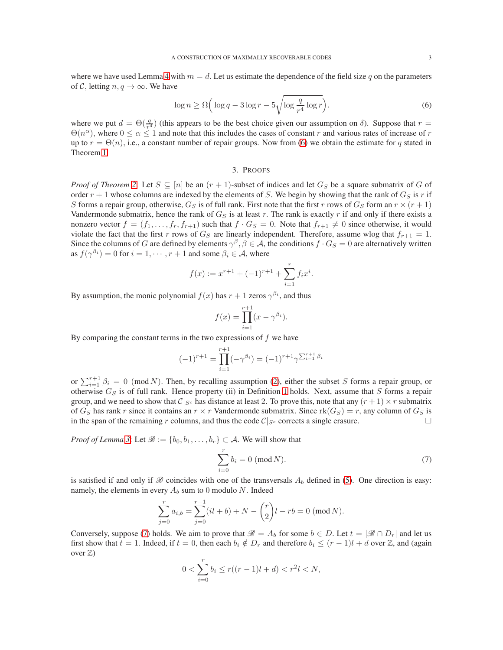where we have used Lemma [4](#page-1-2) with  $m = d$ . Let us estimate the dependence of the field size q on the parameters of C, letting  $n, q \rightarrow \infty$ . We have

<span id="page-2-0"></span>
$$
\log n \ge \Omega \left( \log q - 3 \log r - 5 \sqrt{\log \frac{q}{r^4} \log r} \right). \tag{6}
$$

where we put  $d = \Theta(\frac{q}{r^4})$  (this appears to be the best choice given our assumption on  $\delta$ ). Suppose that  $r =$  $\Theta(n^{\alpha})$ , where  $0 \le \alpha \le 1$  and note that this includes the cases of constant r and various rates of increase of r up to  $r = \Theta(n)$ , i.e., a constant number of repair groups. Now from [\(6\)](#page-2-0) we obtain the estimate for q stated in Theorem [1.](#page-0-1)

## 3. PROOFS

*Proof of Theorem [2](#page-1-3)*: Let  $S \subseteq [n]$  be an  $(r + 1)$ -subset of indices and let  $G_S$  be a square submatrix of G of order  $r + 1$  whose columns are indexed by the elements of S. We begin by showing that the rank of  $G_S$  is r if S forms a repair group, otherwise,  $G_S$  is of full rank. First note that the first r rows of  $G_S$  form an  $r \times (r+1)$ Vandermonde submatrix, hence the rank of  $G_S$  is at least r. The rank is exactly r if and only if there exists a nonzero vector  $f = (f_1, \ldots, f_r, f_{r+1})$  such that  $f \cdot G_S = 0$ . Note that  $f_{r+1} \neq 0$  since otherwise, it would violate the fact that the first r rows of  $G_S$  are linearly independent. Therefore, assume wlog that  $f_{r+1} = 1$ . Since the columns of G are defined by elements  $\gamma^{\beta}$ ,  $\beta \in A$ , the conditions  $f \cdot G_S = 0$  are alternatively written as  $f(\gamma^{\beta_i}) = 0$  for  $i = 1, \dots, r + 1$  and some  $\beta_i \in \mathcal{A}$ , where

$$
f(x) := x^{r+1} + (-1)^{r+1} + \sum_{i=1}^{r} f_i x^i.
$$

By assumption, the monic polynomial  $f(x)$  has  $r + 1$  zeros  $\gamma^{\beta_i}$ , and thus

$$
f(x) = \prod_{i=1}^{r+1} (x - \gamma^{\beta_i}).
$$

By comparing the constant terms in the two expressions of  $f$  we have

$$
(-1)^{r+1} = \prod_{i=1}^{r+1} (-\gamma^{\beta_i}) = (-1)^{r+1} \gamma^{\sum_{i=1}^{r+1} \beta_i}
$$

or  $\sum_{i=1}^{r+1} \beta_i = 0 \pmod{N}$ . Then, by recalling assumption [\(2\)](#page-1-0), either the subset S forms a repair group, or otherwise  $G_S$  is of full rank. Hence property (ii) in Definition [1](#page-0-0) holds. Next, assume that S forms a repair group, and we need to show that  $C|_{S^c}$  has distance at least 2. To prove this, note that any  $(r + 1) \times r$  submatrix of  $G_S$  has rank r since it contains an  $r \times r$  Vandermonde submatrix. Since  $rk(G_S) = r$ , any column of  $G_S$  is in the span of the remaining r columns, and thus the code  $C|_{S_c}$  corrects a single erasure. in the span of the remaining r columns, and thus the code  $C|_{S^c}$  corrects a single erasure.

*Proof of Lemma* [3](#page-1-4): Let  $\mathcal{B} := \{b_0, b_1, \ldots, b_r\} \subset \mathcal{A}$ . We will show that

<span id="page-2-1"></span>
$$
\sum_{i=0}^{r} b_i = 0 \text{ (mod } N). \tag{7}
$$

is satisfied if and only if  $\mathscr B$  coincides with one of the transversals  $A_b$  defined in [\(5\)](#page-1-5). One direction is easy: namely, the elements in every  $A_b$  sum to 0 modulo N. Indeed

$$
\sum_{j=0}^{r} a_{i,b} = \sum_{j=0}^{r-1} (il+b) + N - {r \choose 2}l - rb = 0 \pmod{N}.
$$

Conversely, suppose [\(7\)](#page-2-1) holds. We aim to prove that  $\mathscr{B} = A_b$  for some  $b \in D$ . Let  $t = |\mathscr{B} \cap D_r|$  and let us first show that  $t = 1$ . Indeed, if  $t = 0$ , then each  $b_i \notin D_r$  and therefore  $b_i \leq (r - 1)l + d$  over  $\mathbb{Z}$ , and (again over  $\mathbb{Z}$ )

$$
0 < \sum_{i=0}^{r} b_i \le r((r-1)l + d) < r^2l < N,
$$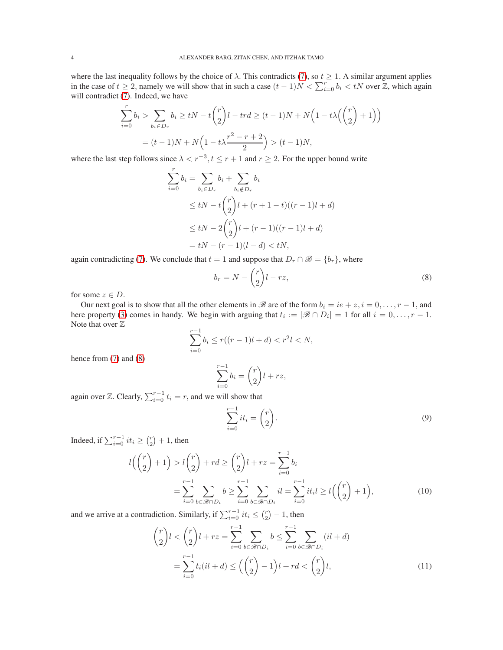where the last inequality follows by the choice of  $\lambda$ . This contradicts [\(7\)](#page-2-1), so  $t \ge 1$ . A similar argument applies in the case of  $t \ge 2$ , namely we will show that in such a case  $(t-1)N < \sum_{i=0}^{r} b_i < tN$  over  $\mathbb{Z}$ , which again will contradict [\(7\)](#page-2-1). Indeed, we have

$$
\sum_{i=0}^{r} b_i > \sum_{b_i \in D_r} b_i \ge tN - t\binom{r}{2}l - trd \ge (t-1)N + N\Big(1 - t\lambda\Big(\binom{r}{2} + 1\Big)\Big)
$$

$$
= (t-1)N + N\Big(1 - t\lambda\frac{r^2 - r + 2}{2}\Big) > (t-1)N,
$$

where the last step follows since  $\lambda < r^{-3}$ ,  $t \le r + 1$  and  $r \ge 2$ . For the upper bound write

$$
\sum_{i=0}^{r} b_i = \sum_{b_i \in D_r} b_i + \sum_{b_i \notin D_r} b_i
$$
  
\n
$$
\leq tN - t \binom{r}{2} l + (r+1-t)((r-1)l + d)
$$
  
\n
$$
\leq tN - 2 \binom{r}{2} l + (r-1)((r-1)l + d)
$$
  
\n
$$
= tN - (r-1)(l - d) < tN,
$$

again contradicting [\(7\)](#page-2-1). We conclude that  $t = 1$  and suppose that  $D_r \cap \mathcal{B} = \{b_r\}$ , where

<span id="page-3-0"></span>
$$
b_r = N - \binom{r}{2}l - rz,\tag{8}
$$

for some  $z \in D$ .

Our next goal is to show that all the other elements in  $\mathcal B$  are of the form  $b_i = ie + z, i = 0, \ldots, r - 1$ , and here property [\(3\)](#page-1-1) comes in handy. We begin with arguing that  $t_i := |\mathcal{B} \cap D_i| = 1$  for all  $i = 0, ..., r - 1$ . Note that over  $\mathbb Z$ 

$$
\sum_{i=0}^{r-1} b_i \le r((r-1)l + d) < r^2l < N
$$

hence from [\(7\)](#page-2-1) and [\(8\)](#page-3-0)

$$
\sum_{i=0}^{r-1} b_i = \binom{r}{2}l + rz,
$$

again over  $\mathbb{Z}$ . Clearly,  $\sum_{i=0}^{r-1} t_i = r$ , and we will show that

<span id="page-3-2"></span><span id="page-3-1"></span>
$$
\sum_{i=0}^{r-1} it_i = \binom{r}{2}.
$$
\n(9)

Indeed, if  $\sum_{i=0}^{r-1} it_i \geq {r \choose 2} + 1$ , then

$$
l\left(\binom{r}{2}+1\right) > l\binom{r}{2} + rd \ge \binom{r}{2}l + rz = \sum_{i=0}^{r-1} b_i
$$
  
= 
$$
\sum_{i=0}^{r-1} \sum_{b \in \mathcal{B} \cap D_i} b \ge \sum_{i=0}^{r-1} \sum_{b \in \mathcal{B} \cap D_i} il = \sum_{i=0}^{r-1} it_i l \ge l\left(\binom{r}{2}+1\right),
$$
 (10)

and we arrive at a contradiction. Similarly, if  $\sum_{i=0}^{r-1} it_i \leq {r \choose 2} - 1$ , then

$$
\binom{r}{2}l < \binom{r}{2}l + rz = \sum_{i=0}^{r-1} \sum_{b \in \mathcal{B} \cap D_i} b \le \sum_{i=0}^{r-1} \sum_{b \in \mathcal{B} \cap D_i} (il + d)
$$
\n
$$
= \sum_{i=0}^{r-1} t_i (il + d) \le \left( \binom{r}{2} - 1 \right)l + rd < \binom{r}{2}l,\tag{11}
$$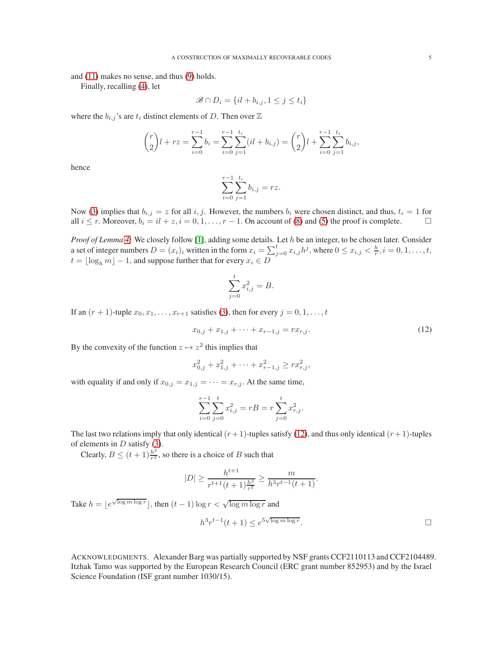and [\(11\)](#page-3-1) makes no sense, and thus [\(9\)](#page-3-2) holds.

Finally, recalling [\(4\)](#page-1-6), let

$$
\mathscr{B} \cap D_i = \{il + b_{i,j}, 1 \leq j \leq t_i\}
$$

where the  $b_{i,j}$ 's are  $t_i$  distinct elements of D. Then over  $\mathbb Z$ 

$$
\binom{r}{2}l + rz = \sum_{i=0}^{r-1} b_i = \sum_{i=0}^{r-1} \sum_{j=1}^{t_i} (il + b_{i,j}) = \binom{r}{2}l + \sum_{i=0}^{r-1} \sum_{j=1}^{t_i} b_{i,j},
$$

hence

$$
\sum_{i=0}^{r-1} \sum_{j=1}^{t_i} b_{i,j} = rz.
$$

Now [\(3\)](#page-1-1) implies that  $b_{i,j} = z$  for all i, j. However, the numbers  $b_i$  were chosen distinct, and thus,  $t_i = 1$  for all  $i \leq r$ . Moreover,  $b_i = i, i \neq 2, i = 0, 1, \ldots, r - 1$ . On account of [\(8\)](#page-3-0) and [\(5\)](#page-1-5) the proof is complete.

*Proof of Lemma [4:](#page-1-2)* We closely follow [\[1\]](#page-5-3), adding some details. Let h be an integer, to be chosen later. Consider a set of integer numbers  $D = (x_i)_i$  written in the form  $x_i = \sum_{j=0}^t x_{i,j} h^j$ , where  $0 \le x_{i,j} < \frac{h}{r}$ ,  $i = 0, 1, \ldots, t$ ,  $t = \lfloor \log_h m \rfloor - 1$ , and suppose further that for every  $x_i \in D$ 

$$
\sum_{j=0}^{t} x_{i,j}^2 = B.
$$

If an  $(r + 1)$ -tuple  $x_0, x_1, \ldots, x_{r+1}$  satisfies [\(3\)](#page-1-1), then for every  $j = 0, 1, \ldots, t$ 

<span id="page-4-0"></span>
$$
x_{0,j} + x_{1,j} + \dots + x_{r-1,j} = rx_{r,j}.\tag{12}
$$

By the convexity of the function  $z \mapsto z^2$  this implies that

$$
x_{0,j}^2 + x_{1,j}^2 + \dots + x_{r-1,j}^2 \ge rx_{r,j}^2,
$$

with equality if and only if  $x_{0,j} = x_{1,j} = \cdots = x_{r,j}$ . At the same time,

$$
\sum_{i=0}^{r-1} \sum_{j=0}^{t} x_{i,j}^2 = rB = r \sum_{j=0}^{t} x_{r,j}^2.
$$

The last two relations imply that only identical  $(r+1)$ -tuples satisfy [\(12\)](#page-4-0), and thus only identical  $(r+1)$ -tuples of elements in  $D$  satisfy [\(3\)](#page-1-1).

Clearly,  $B \le (t+1) \frac{h^2}{r^2}$  $\frac{h^2}{r^2}$ , so there is a choice of B such that

$$
|D| \ge \frac{h^{t+1}}{r^{t+1}(t+1)\frac{h^2}{r^2}} \ge \frac{m}{h^3 r^{t-1}(t+1)}.
$$

Take  $h = \lfloor e^{\sqrt{\log m \log r}} \rfloor$ , then  $(t - 1) \log r < \sqrt{\log m \log r}$  and

$$
h^3 r^{t-1}(t+1) \le e^{5\sqrt{\log m \log r}}.
$$

ACKNOWLEDGMENTS. Alexander Barg was partially supported by NSF grants CCF2110113 and CCF2104489. Itzhak Tamo was supported by the European Research Council (ERC grant number 852953) and by the Israel Science Foundation (ISF grant number 1030/15).